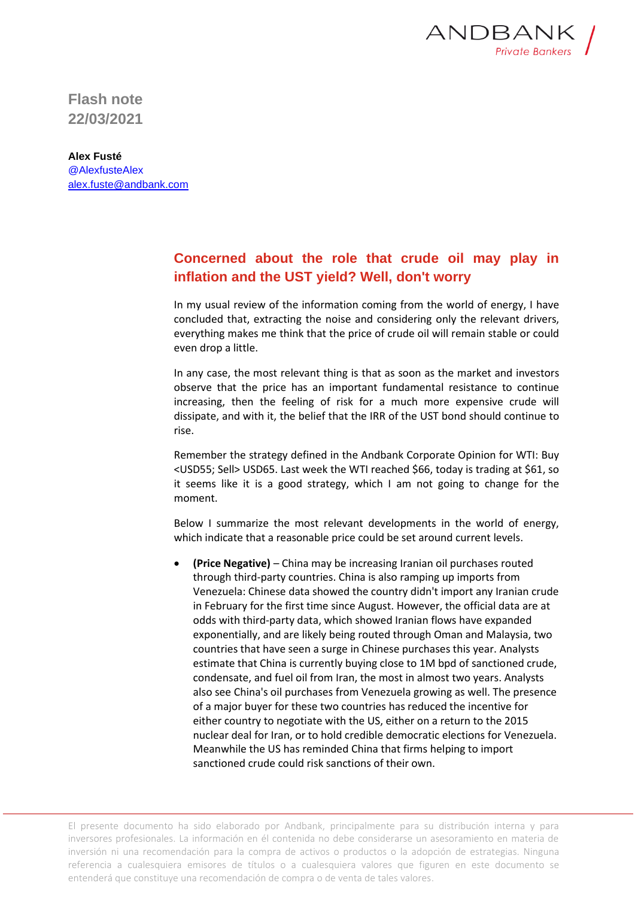

**Flash note 22/03/2021**

**Alex Fusté** @AlexfusteAlex [alex.fuste@andbank.com](mailto:alex.fuste@andbank.com)

## **Concerned about the role that crude oil may play in inflation and the UST yield? Well, don't worry**

In my usual review of the information coming from the world of energy, I have concluded that, extracting the noise and considering only the relevant drivers, everything makes me think that the price of crude oil will remain stable or could even drop a little.

In any case, the most relevant thing is that as soon as the market and investors observe that the price has an important fundamental resistance to continue increasing, then the feeling of risk for a much more expensive crude will dissipate, and with it, the belief that the IRR of the UST bond should continue to rise.

Remember the strategy defined in the Andbank Corporate Opinion for WTI: Buy <USD55; Sell> USD65. Last week the WTI reached \$66, today is trading at \$61, so it seems like it is a good strategy, which I am not going to change for the moment.

Below I summarize the most relevant developments in the world of energy, which indicate that a reasonable price could be set around current levels.

• **(Price Negative)** – China may be increasing Iranian oil purchases routed through third-party countries. China is also ramping up imports from Venezuela: Chinese data showed the country didn't import any Iranian crude in February for the first time since August. However, the official data are at odds with third-party data, which showed Iranian flows have expanded exponentially, and are likely being routed through Oman and Malaysia, two countries that have seen a surge in Chinese purchases this year. Analysts estimate that China is currently buying close to 1M bpd of sanctioned crude, condensate, and fuel oil from Iran, the most in almost two years. Analysts also see China's oil purchases from Venezuela growing as well. The presence of a major buyer for these two countries has reduced the incentive for either country to negotiate with the US, either on a return to the 2015 nuclear deal for Iran, or to hold credible democratic elections for Venezuela. Meanwhile the US has reminded China that firms helping to import sanctioned crude could risk sanctions of their own.

El presente documento ha sido elaborado por Andbank, principalmente para su distribución interna y para inversores profesionales. La información en él contenida no debe considerarse un asesoramiento en materia de inversión ni una recomendación para la compra de activos o productos o la adopción de estrategias. Ninguna referencia a cualesquiera emisores de títulos o a cualesquiera valores que figuren en este documento se entenderá que constituye una recomendación de compra o de venta de tales valores.